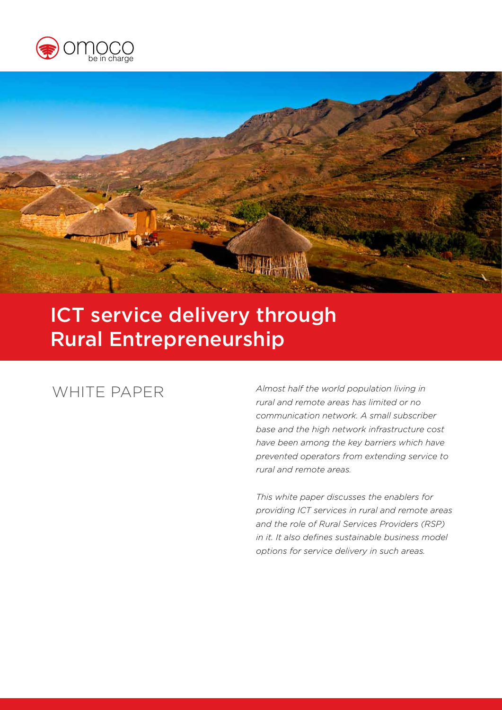



# ICT service delivery through Rural Entrepreneurship

# WHITE PAPER

*Almost half the world population living in rural and remote areas has limited or no communication network. A small subscriber base and the high network infrastructure cost have been among the key barriers which have prevented operators from extending service to rural and remote areas.* 

*This white paper discusses the enablers for providing ICT services in rural and remote areas and the role of Rural Services Providers (RSP) in it. It also defines sustainable business model options for service delivery in such areas.*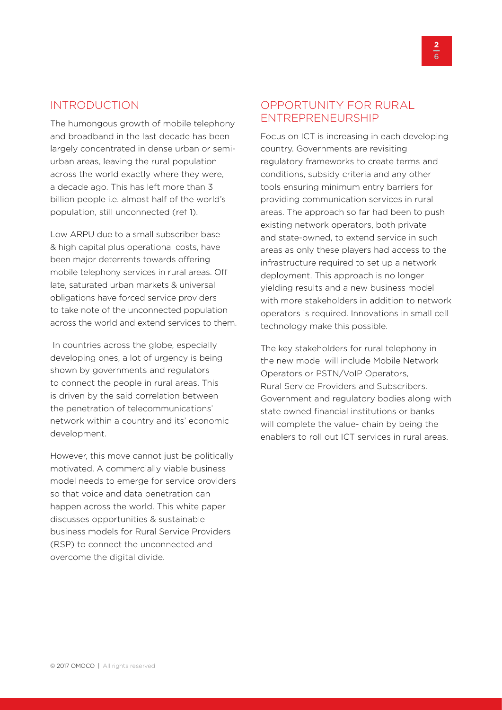#### INTRODUCTION

The humongous growth of mobile telephony and broadband in the last decade has been largely concentrated in dense urban or semiurban areas, leaving the rural population across the world exactly where they were, a decade ago. This has left more than 3 billion people i.e. almost half of the world's population, still unconnected (ref 1).

Low ARPU due to a small subscriber base & high capital plus operational costs, have been major deterrents towards offering mobile telephony services in rural areas. Off late, saturated urban markets & universal obligations have forced service providers to take note of the unconnected population across the world and extend services to them.

 In countries across the globe, especially developing ones, a lot of urgency is being shown by governments and regulators to connect the people in rural areas. This is driven by the said correlation between the penetration of telecommunications' network within a country and its' economic development.

However, this move cannot just be politically motivated. A commercially viable business model needs to emerge for service providers so that voice and data penetration can happen across the world. This white paper discusses opportunities & sustainable business models for Rural Service Providers (RSP) to connect the unconnected and overcome the digital divide.

# OPPORTUNITY FOR RURAL ENTREPRENEURSHIP

Focus on ICT is increasing in each developing country. Governments are revisiting regulatory frameworks to create terms and conditions, subsidy criteria and any other tools ensuring minimum entry barriers for providing communication services in rural areas. The approach so far had been to push existing network operators, both private and state-owned, to extend service in such areas as only these players had access to the infrastructure required to set up a network deployment. This approach is no longer yielding results and a new business model with more stakeholders in addition to network operators is required. Innovations in small cell technology make this possible.

The key stakeholders for rural telephony in the new model will include Mobile Network Operators or PSTN/VoIP Operators, Rural Service Providers and Subscribers. Government and regulatory bodies along with state owned financial institutions or banks will complete the value- chain by being the enablers to roll out ICT services in rural areas.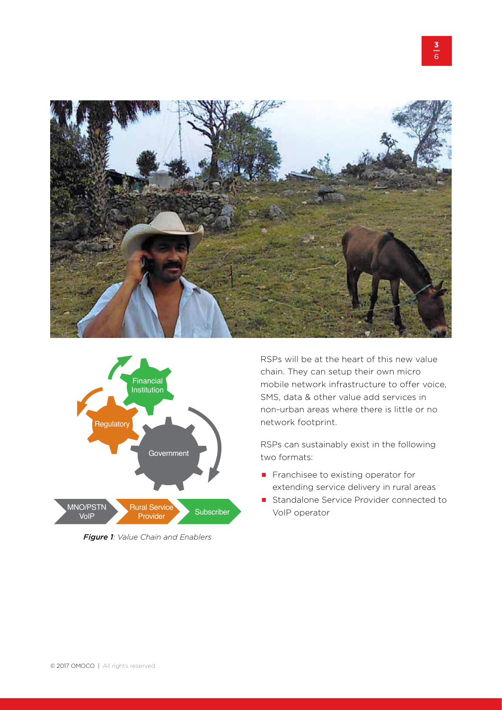



*Figure 1: Value Chain and Enablers*

RSPs will be at the heart of this new value chain. They can setup their own micro mobile network infrastructure to offer voice, SMS, data & other value add services in non-urban areas where there is little or no network footprint.

RSPs can sustainably exist in the following two formats:

- Franchisee to existing operator for extending service delivery in rural areas
- Standalone Service Provider connected to VoIP operator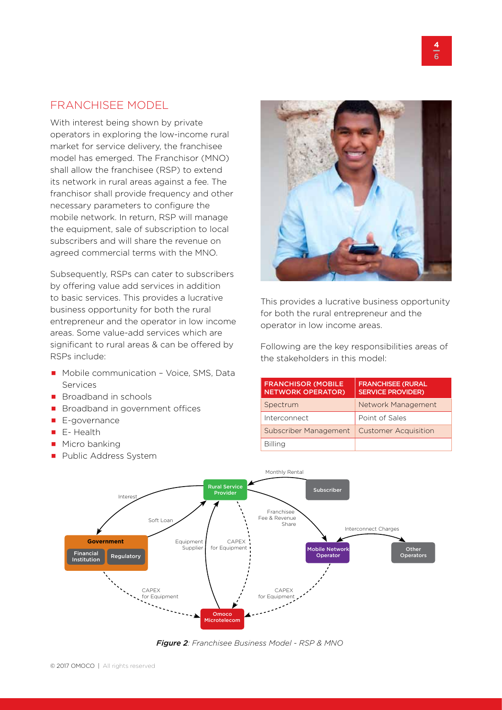### FRANCHISEE MODEL

With interest being shown by private operators in exploring the low-income rural market for service delivery, the franchisee model has emerged. The Franchisor (MNO) shall allow the franchisee (RSP) to extend its network in rural areas against a fee. The franchisor shall provide frequency and other necessary parameters to configure the mobile network. In return, RSP will manage the equipment, sale of subscription to local subscribers and will share the revenue on agreed commercial terms with the MNO.

Subsequently, RSPs can cater to subscribers by offering value add services in addition to basic services. This provides a lucrative business opportunity for both the rural entrepreneur and the operator in low income areas. Some value-add services which are significant to rural areas & can be offered by RSPs include:

- Mobile communication Voice, SMS, Data Services
- $\blacksquare$  Broadband in schools
- **Broadband in government offices**
- E-governance
- E-Health
- **Micro banking**
- **Public Address System**



This provides a lucrative business opportunity for both the rural entrepreneur and the operator in low income areas.

Following are the key responsibilities areas of the stakeholders in this model:

| <b>FRANCHISOR (MOBILE</b><br><b>NETWORK OPERATOR)</b> | <b>FRANCHISEE (RURAL</b><br><b>SERVICE PROVIDER)</b> |
|-------------------------------------------------------|------------------------------------------------------|
| Spectrum                                              | Network Management                                   |
| Interconnect                                          | Point of Sales                                       |
| Subscriber Management                                 | <b>Customer Acquisition</b>                          |
| <b>Billing</b>                                        |                                                      |



*Figure 2: Franchisee Business Model - RSP & MNO*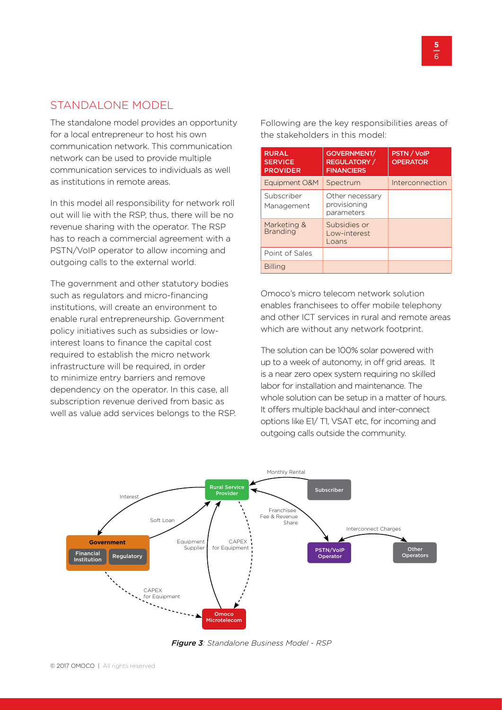### STANDALONE MODEL

The standalone model provides an opportunity for a local entrepreneur to host his own communication network. This communication network can be used to provide multiple communication services to individuals as well as institutions in remote areas.

In this model all responsibility for network roll out will lie with the RSP, thus, there will be no revenue sharing with the operator. The RSP has to reach a commercial agreement with a PSTN/VoIP operator to allow incoming and outgoing calls to the external world.

The government and other statutory bodies such as regulators and micro-financing institutions, will create an environment to enable rural entrepreneurship. Government policy initiatives such as subsidies or lowinterest loans to finance the capital cost required to establish the micro network infrastructure will be required, in order to minimize entry barriers and remove dependency on the operator. In this case, all subscription revenue derived from basic as well as value add services belongs to the RSP. Following are the key responsibilities areas of the stakeholders in this model:

| <b>RURAL</b><br><b>SERVICE</b><br><b>PROVIDER</b> | GOVERNMENT/<br><b>REGULATORY</b> /<br><b>FINANCIERS</b> | <b>PSTN / VoIP</b><br><b>OPERATOR</b> |
|---------------------------------------------------|---------------------------------------------------------|---------------------------------------|
| Equipment O&M                                     | Spectrum                                                | Interconnection                       |
| Subscriber<br>Management                          | Other necessary<br>provisioning<br>parameters           |                                       |
| Marketing &<br><b>Branding</b>                    | Subsidies or<br>Low-interest<br>L <sub>o</sub> ans      |                                       |
| Point of Sales                                    |                                                         |                                       |
| <b>Billing</b>                                    |                                                         |                                       |

Omoco's micro telecom network solution enables franchisees to offer mobile telephony and other ICT services in rural and remote areas which are without any network footprint.

The solution can be 100% solar powered with up to a week of autonomy, in off grid areas. It is a near zero opex system requiring no skilled labor for installation and maintenance. The whole solution can be setup in a matter of hours. It offers multiple backhaul and inter-connect options like E1/ T1, VSAT etc, for incoming and outgoing calls outside the community.



*Figure 3: Standalone Business Model - RSP*